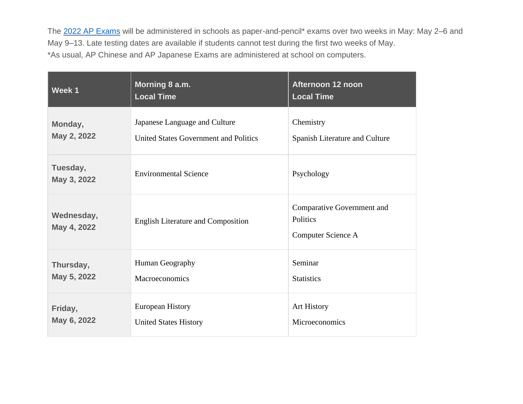The [2022 AP Exams](https://apcentral.collegeboard.org/exam-administration-ordering-scores/exam-dates/2022-exam-dates) will be administered in schools as paper-and-pencil\* exams over two weeks in May: May 2-6 and May 9–13. Late testing dates are available if students cannot test during the first two weeks of May. \*As usual, AP Chinese and AP Japanese Exams are administered at school on computers.

| Week 1                    | Morning 8 a.m.<br><b>Local Time</b>       | Afternoon 12 noon<br><b>Local Time</b>                       |
|---------------------------|-------------------------------------------|--------------------------------------------------------------|
| Monday,                   | Japanese Language and Culture             | Chemistry                                                    |
| May 2, 2022               | United States Government and Politics     | Spanish Literature and Culture                               |
| Tuesday,<br>May 3, 2022   | <b>Environmental Science</b>              | Psychology                                                   |
| Wednesday,<br>May 4, 2022 | <b>English Literature and Composition</b> | Comparative Government and<br>Politics<br>Computer Science A |
| Thursday,                 | Human Geography                           | Seminar                                                      |
| May 5, 2022               | Macroeconomics                            | <b>Statistics</b>                                            |
| Friday,                   | <b>European History</b>                   | <b>Art History</b>                                           |
| May 6, 2022               | <b>United States History</b>              | Microeconomics                                               |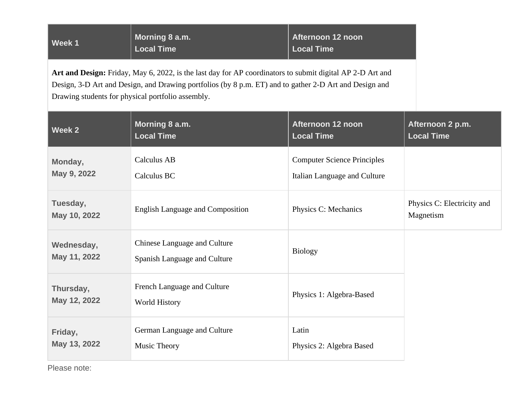| Morning 8 a.m.<br>Afternoon 12 noon<br>Week 1<br><b>Local Time</b><br><b>Local Time</b> |
|-----------------------------------------------------------------------------------------|
|-----------------------------------------------------------------------------------------|

**Art and Design:** Friday, May 6, 2022, is the last day for AP coordinators to submit digital AP 2-D Art and Design, 3-D Art and Design, and Drawing portfolios (by 8 p.m. ET) and to gather 2-D Art and Design and Drawing students for physical portfolio assembly.

| Week 2                     | Morning 8 a.m.                                               | Afternoon 12 noon                  | Afternoon 2 p.m.                        |
|----------------------------|--------------------------------------------------------------|------------------------------------|-----------------------------------------|
|                            | <b>Local Time</b>                                            | <b>Local Time</b>                  | <b>Local Time</b>                       |
| Monday,                    | Calculus AB                                                  | <b>Computer Science Principles</b> |                                         |
| May 9, 2022                | Calculus BC                                                  | Italian Language and Culture       |                                         |
| Tuesday,<br>May 10, 2022   | <b>English Language and Composition</b>                      | Physics C: Mechanics               | Physics C: Electricity and<br>Magnetism |
| Wednesday,<br>May 11, 2022 | Chinese Language and Culture<br>Spanish Language and Culture | <b>Biology</b>                     |                                         |
| Thursday,<br>May 12, 2022  | French Language and Culture<br>World History                 | Physics 1: Algebra-Based           |                                         |
| Friday,                    | German Language and Culture                                  | Latin                              |                                         |
| May 13, 2022               | <b>Music Theory</b>                                          | Physics 2: Algebra Based           |                                         |

Please note: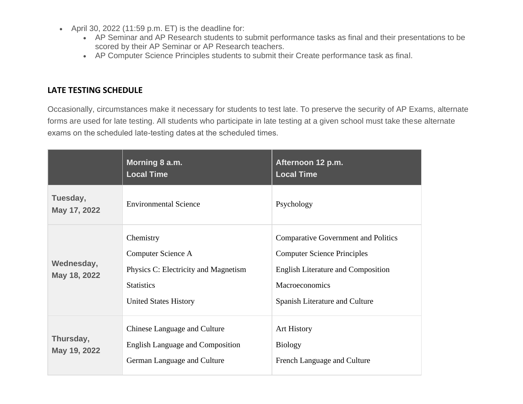- April 30, 2022 (11:59 p.m. ET) is the deadline for:
	- AP Seminar and AP Research students to submit performance tasks as final and their presentations to be scored by their AP Seminar or AP Research teachers.
	- AP Computer Science Principles students to submit their Create performance task as final.

## **LATE TESTING SCHEDULE**

Occasionally, circumstances make it necessary for students to test late. To preserve the security of AP Exams, alternate forms are used for late testing. All students who participate in late testing at a given school must take these alternate exams on the scheduled late-testing dates at the scheduled times.  

|                            | Morning 8 a.m.<br><b>Local Time</b>                                                                                          | Afternoon 12 p.m.<br><b>Local Time</b>                                                                                                                                            |
|----------------------------|------------------------------------------------------------------------------------------------------------------------------|-----------------------------------------------------------------------------------------------------------------------------------------------------------------------------------|
| Tuesday,<br>May 17, 2022   | <b>Environmental Science</b>                                                                                                 | Psychology                                                                                                                                                                        |
| Wednesday,<br>May 18, 2022 | Chemistry<br>Computer Science A<br>Physics C: Electricity and Magnetism<br><b>Statistics</b><br><b>United States History</b> | <b>Comparative Government and Politics</b><br><b>Computer Science Principles</b><br><b>English Literature and Composition</b><br>Macroeconomics<br>Spanish Literature and Culture |
| Thursday,<br>May 19, 2022  | Chinese Language and Culture<br><b>English Language and Composition</b><br>German Language and Culture                       | <b>Art History</b><br><b>Biology</b><br>French Language and Culture                                                                                                               |